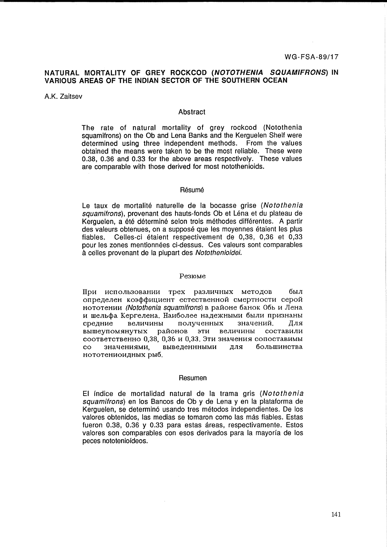## NATURAL MORTALITY OF GREY ROCKCOD (NOTOTHENIA SQUAMIFRONS) IN VARIOUS AREAS OF THE INDIAN SECTOR OF THE SOUTHERN OCEAN

A.K. Zaitsev

## Abstract

The rate of natural mortality of grey rockcod (Notothenia squamifrons) on the Ob and Lena Banks and the Kerguelen Shelf were determined using three independent methods. From the values obtained the means were taken to be the most reliable. These were 0.38, 0.36 and 0.33 for the above areas respectively. These values are comparable with those derived for most notothenioids.

#### Résumé

Le taux de mortalité naturelle de la bocasse grise (Notothenia squamifrons), provenant des hauts-fonds Ob et Léna et du plateau de Kerquelen, a été déterminé selon trois méthodes différentes. A partir des valeurs obtenues, on a supposé que les moyennes étaient les plus Celles-ci étaient respectivement de 0,38, 0,36 et 0,33 fiables. pour les zones mentionnées ci-dessus. Ces valeurs sont comparables à celles provenant de la plupart des Notothenioidei.

## Резюме

При использовании трех различных методов был определен коэффициент естественной смертности серой нототении (Notothenia squamifrons) в районе банок Обь и Лена и шельфа Кергелена. Наиболее надежными были признаны величины полученных значений. средние Для эти величины составили вышеупомянутых районов соответственно 0.38, 0.36 и 0.33. Эти значения сопоставимы значениями. выведеннными лля большинства  $_{\rm co}$ нототениоидных рыб.

#### Resumen

El índice de mortalidad natural de la trama gris (Notothenia squamifrons) en los Bancos de Ob y de Lena y en la plataforma de Kerguelen, se determinó usando tres métodos independientes. De los valores obtenidos, las medias se tomaron como las más fiables. Estas fueron 0.38, 0.36 y 0.33 para estas áreas, respectivamente. Estos valores son comparables con esos derivados para la mayoría de los peces nototenioídeos.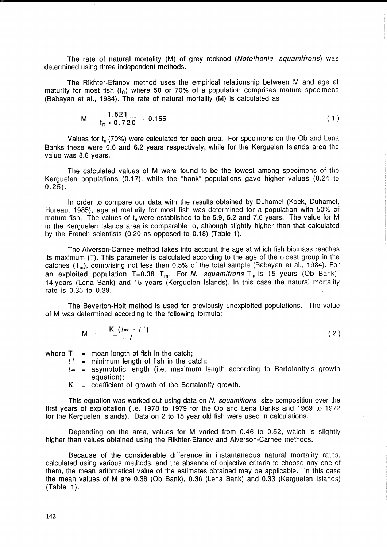The rate of natural mortality (M) of grey rockcod (Notothenia squamifrons) was determined using three independent methods.

The Rikhter-Efanov method uses the empirical relationship between M and age at maturity for most fish  $(t_n)$  where 50 or 70% of a population comprises mature specimens (Babayan et al., 1984). The rate of natural mortality (M) is calculated as

$$
M = \frac{1.521}{t_n \cdot 0.720} - 0.155 \tag{1}
$$

Values for  $t_n$  (70%) were calculated for each area. For specimens on the Ob and Lena Banks these were 6.6 and 6.2 years respectively, while for the Kerguelen Islands area the value was 8.6 years.

The calculated values of M were found to be the lowest among specimens of the Kerguelen populations (0.17), while the "bank" populations gave higher values (0.24 to  $0.25$ ).

In order to compare our data with the results obtained by Duhamel (Kock, Duhamel, Hureau, 1985), age at maturity for most fish was determined for a population with 50% of mature fish. The values of  $t_n$  were established to be 5.9, 5.2 and 7.6 years. The value for M in the Kerguelen Islands area is comparable to, although slightly higher than that calculated by the French scientists (0.20 as opposed to 0.18) (Table 1).

The Alverson-Carnee method takes into account the age at which fish biomass reaches its maximum (T). This parameter is calculated according to the age of the oldest group in the catches  $(T_m)$ , comprising not less than 0.5% of the total sample (Babayan et al., 1984). For an exploited population T=0.38 T<sub>m</sub>. For N. squamitrons T<sub>m</sub> is 15 years (Ob Bank), 14 years (Lena Bank) and 15 years (Kerguelen Islands). In this case the natural mortality rate is 0.35 to 0.39.

The Beverton-Holt method is used for previously unexploited populations. The value of M was determined according to the following formula:

$$
M = \frac{K (l \in \{-l\})}{T - l} \tag{2}
$$

- where  $T =$  mean length of fish in the catch;<br>  $l' =$  minimum length of fish in the catch;
	- $l_{\infty}$  = asymptotic length (i.e. maximum length according to Bertalanffy's growth equation);
	- $K =$  coefficient of growth of the Bertalanffy growth.

This equation was worked out using data on N. squamifrons size composition over the first years of exploitation (i.e. 1978 to 1979 for the Ob and Lena Banks and 1969 to 1972 for the Kerguelen Islands). Data on 2 to 15 year old fish were used in calculations.

Depending on the area, values for M varied from 0.46 to 0.52, which is slightly higher than values obtained using the Rikhter-Efanov and Alverson-Carnee methods.

Because of the considerable difference in instantaneous natural mortality rates, calculated using various methods, and the absence of objective criteria to choose anyone of them, the mean arithmetical value of the estimates obtained may be applicable. In this case the mean values of M are 0.38 (Ob Bank), 0.36 (Lena Bank) and 0.33 (Kerguelen Islands) (Table 1).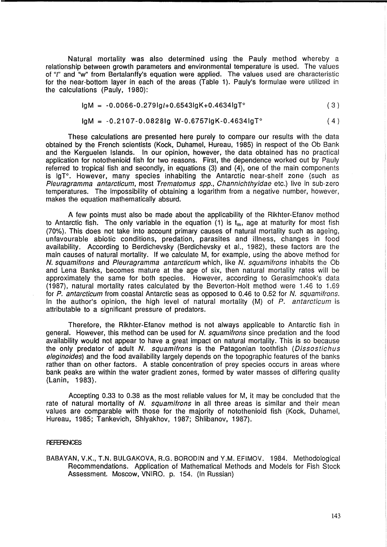Natural mortality was also determined using the Pauly method whereby a relationship between growth parameters and environmental temperature is used. The values of "l" and "w" from Bertalanffy's equation were applied. The values used are characteristic for the near-bottom layer in each of the areas (Table 1). Pauly's formulae were utilized in the calculations (Pauly, 1980):

$$
lgM = -0.0066 - 0.279lg1 + 0.6543lgK + 0.4634lgT^{\circ}
$$
 (3)

$$
lgM = -0.2107 - 0.0828ig W - 0.6757igK - 0.4634igT^{\circ}
$$
 (4)

These calculations are presented here purely to compare our results with the data obtained by the French scientists (Kock, Duhamel, Hureau, 1985) in respect of the Ob Bank and the Kerguelen Islands. In our opinion, however, the data obtained has no practical application for notothenioid fish for two reasons. First, the dependence worked out by Pauly referred to tropical fish and secondly, in equations (3) and (4), one of the main components is IgT°. However, many species inhabiting the Antarctic near-shelf zone (such as Pleuragramma antarcticum, most Trematomus spp., Channichthyidae etc.) live in sub-zero temperatures. The impossibility of obtaining a logarithm from a negative number, however, makes the equation mathematically absurd.

A few points must also be made about the applicability of the Rikhter-Efanov method to Antarctic fish. The only variable in the equation (1) is  $t_m$ , age at maturity for most fish (70%). This does not take into account primary causes of natural mortality such as ageing, unfavourable abiotic conditions, predation, parasites and illness, changes in food availability. According to Berdichevsky (Berdichevsky et al., 1982), these factors are the main causes of natural mortality. If we calculate M, for example, using the above method for N. squamifrons and Pleuragramma antarcticum which, like N. squamifrons inhabits the Ob and Lena Banks, becomes mature at the age of six, then natural mortality rates will be approximately the same for both species. However, according to Gerasimchook's data (1987), natural mortality rates calculated by the Beverton-Holt method were 1.46 to 1.69 for P. antarcticum from coastal Antarctic seas as opposed to 0.46 to 0.52 for N. squamifrons. In the author's opinion, the high level of natural mortality  $(M)$  of P. antarcticum is attributable to a significant pressure of predators.

Therefore, the Rikhter-Efanov method is not always applicable to Antarctic fish in general. However, this method can be used for N. squamifrons since predation and the food availability would not appear to have a great impact on natural mortality. This is so because the only predator of adult N. squamifrons is the Patagonian toothfish (Dissostichus eleginoides) and the food availability largely depends on the topographic features of the banks rather than on other factors. A stable concentration of prey species occurs in areas where bank peaks are within the water gradient zones, formed by water masses of differing quality (Lanin, 1983).

Accepting 0.33 to 0.38 as the most reliable values for M, it may be concluded that the rate of natural mortality of N. squamifrons in all three areas is similar and their mean values are comparable with those for the majority of notothenioid fish (Kock, Duhamel, Hureau, 1985; Tankevich, Shlyakhov, 1987; Shlibanov, 1987).

### **REFERENCES**

BABAYAN, V.K., T.N. BULGAKOVA, R.G. BORODIN and Y.M. EFIMOV. 1984. Methodological Recommendations. Application of Mathematical Methods and Models for Fish Stock Assessment. Moscow, VNIRO. p. 154. (In Russian)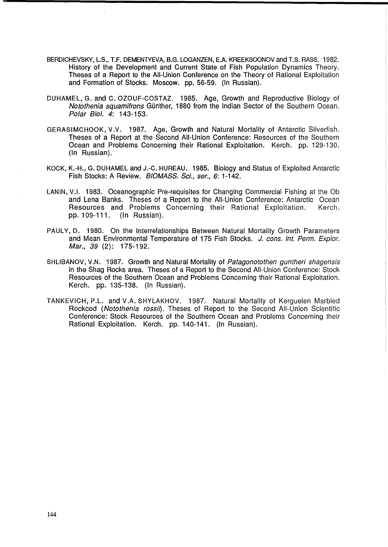- BERDICHEVSKY, L.S., T.F. DEMENTYEVA, B.G. LOGANZEN, E.A. KREEKSOONOV and T.S. RASS. 1982. History of the Development and Current State of Fish Population Dynamics Theory. Theses of a Report to the All-Union Conference on the Theory of Rational Exploitation and Formation of Stocks. Moscow. pp. 56-59. (In Russian).
- DUHAMEL, G. and C. OZOUF-COSTAZ. 1985. Age, Growth and Reproductive Biology of Notothenia squamifrons Günther, 1880 from the Indian Sector of the Southern Ocean. Polar Biol. 4: 143-153.
- GERASIMCHOOK, V.V. 1987. Age, Growth and Natural Mortality of Antarctic Silverfish. Theses of a Report at the Second All-Union Conference: Resources of the Southern Ocean and Problems Concerning their Rational Exploitation. Kerch. pp. 129-130. (In Russian).
- KOCK, K.-H., G. DUHAMEL and J.-C. HUREAU. 1985. Biology and Status of Exploited Antarctic Fish Stocks: A Review. BIOMASS. Sci., ser., 6: 1-142.
- LANIN, V.1. 1983. Oceanographic Pre-requisites for Changing Commercial Fishing at the Ob and Lena Banks. Theses of a Report to the All-Union Conference: Antarctic Ocean Resources and Problems Concerning their Rational Exploitation. Kerch. pp.109-111. (In Russian).
- PAULY, D. 1980. On the Interrelationships Between Natural Mortality Growth Parameters and Mean Environmental Temperature of 175 Fish Stocks. J. cons. int. Perm. Explor. Mar., 39 (2): 175-192.
- SHLIBANOV, V.N. 1987. Growth and Natural Mortality of Patagonotothen guntheri shagensis in the Shag Rocks area. Theses of a Report to the Second All-Union Conference: Stock Resources of the Southern Ocean and Problems Concerning their Rational Exploitation. Kerch. pp. 135-138. (In Russian).
- TANKEVICH, P.L. and V.A. SHYLAKHOV. 1987. Natural Mortality of Kerguelen Marbled Rockcod (Notothenia rossii). Theses of Report to the Second All-Union Scientific Conference: Stock Resources of the Southern Ocean and Problems Concerning their Rational Exploitation. Kerch. pp. 140-141. (In Russian).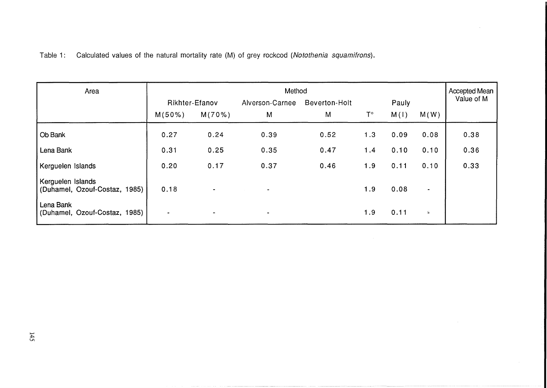Table 1: Calculated values of the natural mortality rate (M) of grey rockcod (Notothenia squamifrons).

| Area                                               | Method                   |                |                          |               |             |       |           | <b>Accepted Mean</b> |
|----------------------------------------------------|--------------------------|----------------|--------------------------|---------------|-------------|-------|-----------|----------------------|
|                                                    | Rikhter-Efanov           |                | Alverson-Carnee          | Beverton-Holt |             | Pauly |           | Value of M           |
|                                                    | M(50%)                   | M(70%)         | M                        | M             | $T^{\circ}$ | M(I)  | M(W)      |                      |
| Ob Bank                                            | 0.27                     | 0.24           | 0.39                     | 0.52          | 1.3         | 0.09  | 0.08      | 0.38                 |
| Lena Bank                                          | 0.31                     | 0.25           | 0.35                     | 0.47          | 1.4         | 0.10  | 0.10      | 0.36                 |
| Kerguelen Islands                                  | 0.20                     | 0.17           | 0.37                     | 0.46          | 1.9         | 0.11  | 0.10      | 0.33                 |
| Kerguelen Islands<br>(Duhamel, Ozouf-Costaz, 1985) | 0.18                     | $\blacksquare$ | $\overline{\phantom{a}}$ |               | 1.9         | 0.08  | $\,$ $\,$ |                      |
| Lena Bank<br>(Duhamel, Ozouf-Costaz, 1985)         | $\overline{\phantom{a}}$ | ۰              | $\blacksquare$           |               | 1.9         | 0.11  | $\equiv$  |                      |